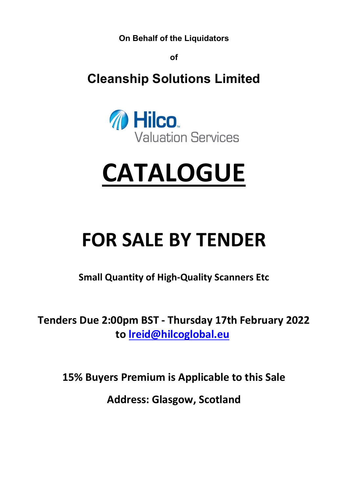**On Behalf of the Liquidators**

**of**

**Cleanship Solutions Limited**



# **CATALOGUE**

## **FOR SALE BY TENDER**

**Small Quantity of High-Quality Scanners Etc**

**Tenders Due 2:00pm BST - Thursday 17th February 2022 to [lreid@hilcoglobal.eu](mailto:lreid@hilcoglobal.eu)**

**15% Buyers Premium is Applicable to this Sale**

**Address: Glasgow, Scotland**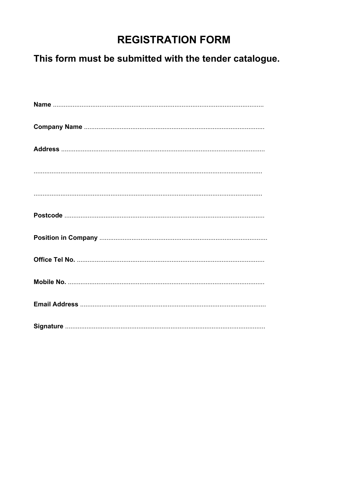### **REGISTRATION FORM**

## This form must be submitted with the tender catalogue.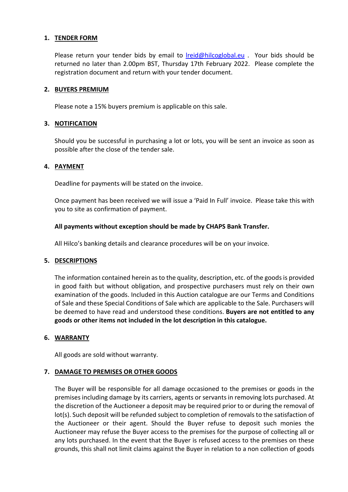#### 1. **TENDER FORM**

Please return your tender bids by email to *[lreid@hilcoglobal.eu](mailto:lreid@hilcoglobal.eu)* . Your bids should be returned no later than 2.00pm BST, Thursday 17th February 2022. Please complete the registration document and return with your tender document.

#### **2. BUYERS PREMIUM**

Please note a 15% buyers premium is applicable on this sale.

#### **3. NOTIFICATION**

Should you be successful in purchasing a lot or lots, you will be sent an invoice as soon as possible after the close of the tender sale.

#### **4. PAYMENT**

Deadline for payments will be stated on the invoice.

Once payment has been received we will issue a 'Paid In Full' invoice. Please take this with you to site as confirmation of payment.

#### **All payments without exception should be made by CHAPS Bank Transfer.**

All Hilco's banking details and clearance procedures will be on your invoice.

#### **5. DESCRIPTIONS**

The information contained herein as to the quality, description, etc. of the goods is provided in good faith but without obligation, and prospective purchasers must rely on their own examination of the goods. Included in this Auction catalogue are our Terms and Conditions of Sale and these Special Conditions of Sale which are applicable to the Sale. Purchasers will be deemed to have read and understood these conditions. **Buyers are not entitled to any goods or other items not included in the lot description in this catalogue.**

#### **6. WARRANTY**

All goods are sold without warranty.

#### **7. DAMAGE TO PREMISES OR OTHER GOODS**

The Buyer will be responsible for all damage occasioned to the premises or goods in the premises including damage by its carriers, agents or servants in removing lots purchased. At the discretion of the Auctioneer a deposit may be required prior to or during the removal of lot(s). Such deposit will be refunded subject to completion of removals to the satisfaction of the Auctioneer or their agent. Should the Buyer refuse to deposit such monies the Auctioneer may refuse the Buyer access to the premises for the purpose of collecting all or any lots purchased. In the event that the Buyer is refused access to the premises on these grounds, this shall not limit claims against the Buyer in relation to a non collection of goods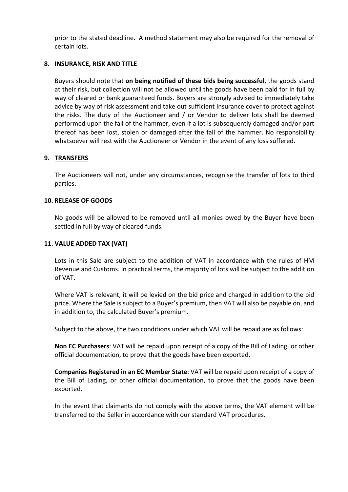prior to the stated deadline. A method statement may also be required for the removal of certain lots.

#### **8. INSURANCE, RISK AND TITLE**

Buyers should note that **on being notified of these bids being successful**, the goods stand at their risk, but collection will not be allowed until the goods have been paid for in full by way of cleared or bank guaranteed funds. Buyers are strongly advised to immediately take advice by way of risk assessment and take out sufficient insurance cover to protect against the risks. The duty of the Auctioneer and / or Vendor to deliver lots shall be deemed performed upon the fall of the hammer, even if a lot is subsequently damaged and/or part thereof has been lost, stolen or damaged after the fall of the hammer. No responsibility whatsoever will rest with the Auctioneer or Vendor in the event of any loss suffered.

#### **9. TRANSFERS**

The Auctioneers will not, under any circumstances, recognise the transfer of lots to third parties.

#### **10. RELEASE OF GOODS**

No goods will be allowed to be removed until all monies owed by the Buyer have been settled in full by way of cleared funds.

#### **11. VALUE ADDED TAX (VAT)**

Lots in this Sale are subject to the addition of VAT in accordance with the rules of HM Revenue and Customs. In practical terms, the majority of lots will be subject to the addition of VAT.

Where VAT is relevant, it will be levied on the bid price and charged in addition to the bid price. Where the Sale is subject to a Buyer's premium, then VAT will also be payable on, and in addition to, the calculated Buyer's premium.

Subject to the above, the two conditions under which VAT will be repaid are as follows:

**Non EC Purchasers**: VAT will be repaid upon receipt of a copy of the Bill of Lading, or other official documentation, to prove that the goods have been exported.

**Companies Registered in an EC Member State**: VAT will be repaid upon receipt of a copy of the Bill of Lading, or other official documentation, to prove that the goods have been exported.

In the event that claimants do not comply with the above terms, the VAT element will be transferred to the Seller in accordance with our standard VAT procedures.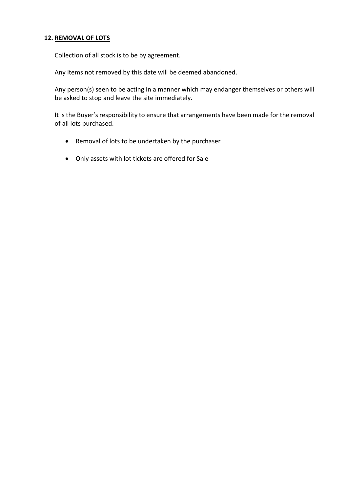#### **12. REMOVAL OF LOTS**

Collection of all stock is to be by agreement.

Any items not removed by this date will be deemed abandoned.

Any person(s) seen to be acting in a manner which may endanger themselves or others will be asked to stop and leave the site immediately.

It is the Buyer's responsibility to ensure that arrangements have been made for the removal of all lots purchased.

- Removal of lots to be undertaken by the purchaser
- Only assets with lot tickets are offered for Sale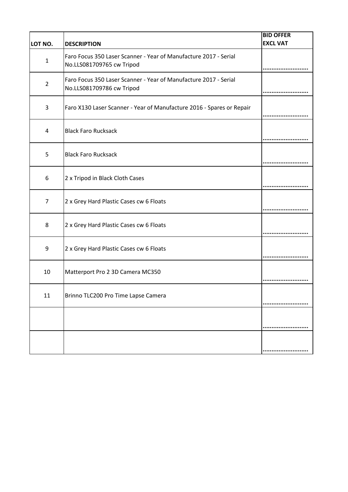|                |                                                                                               | <b>BID OFFER</b> |
|----------------|-----------------------------------------------------------------------------------------------|------------------|
| LOT NO.        | <b>DESCRIPTION</b>                                                                            | <b>EXCL VAT</b>  |
| $\mathbf{1}$   | Faro Focus 350 Laser Scanner - Year of Manufacture 2017 - Serial<br>No.LLS081709765 cw Tripod |                  |
| $\overline{2}$ | Faro Focus 350 Laser Scanner - Year of Manufacture 2017 - Serial<br>No.LLS081709786 cw Tripod |                  |
| 3              | Faro X130 Laser Scanner - Year of Manufacture 2016 - Spares or Repair                         |                  |
| 4              | <b>Black Faro Rucksack</b>                                                                    |                  |
| 5              | <b>Black Faro Rucksack</b>                                                                    |                  |
| 6              | 2 x Tripod in Black Cloth Cases                                                               |                  |
| $\overline{7}$ | 2 x Grey Hard Plastic Cases cw 6 Floats                                                       |                  |
| 8              | 2 x Grey Hard Plastic Cases cw 6 Floats                                                       |                  |
| 9              | 2 x Grey Hard Plastic Cases cw 6 Floats                                                       |                  |
| 10             | Matterport Pro 2 3D Camera MC350                                                              |                  |
| 11             | Brinno TLC200 Pro Time Lapse Camera                                                           |                  |
|                |                                                                                               |                  |
|                |                                                                                               |                  |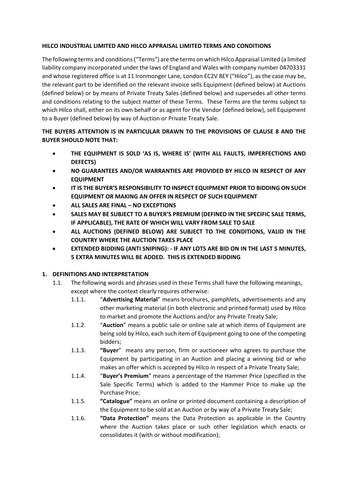#### **HILCO INDUSTRIAL LIMITED AND HILCO APPRAISAL LIMITED TERMS AND CONDITIONS**

The following terms and conditions ("Terms") are the terms on which Hilco Appraisal Limited (a limited liability company incorporated under the laws of England and Wales with company number 04703331 and whose registered office is at 11 Ironmonger Lane, London EC2V 8EY ("Hilco"), as the case may be, the relevant part to be identified on the relevant invoice sells Equipment (defined below) at Auctions (defined below) or by means of Private Treaty Sales (defined below) and supersedes all other terms and conditions relating to the subject matter of these Terms. These Terms are the terms subject to which Hilco shall, either on its own behalf or as agent for the Vendor (defined below), sell Equipment to a Buyer (defined below) by way of Auction or Private Treaty Sale.

#### **THE BUYERS ATTENTION IS IN PARTICULAR DRAWN TO THE PROVISIONS OF CLAUSE 8 AND THE BUYER SHOULD NOTE THAT:**

- **THE EQUIPMENT IS SOLD 'AS IS, WHERE IS' (WITH ALL FAULTS, IMPERFECTIONS AND DEFECTS)**
- **NO GUARANTEES AND/OR WARRANTIES ARE PROVIDED BY HILCO IN RESPECT OF ANY EQUIPMENT**
- **IT IS THE BUYER'S RESPONSIBILITY TO INSPECT EQUIPMENT PRIOR TO BIDDING ON SUCH EQUIPMENT OR MAKING AN OFFER IN RESPECT OF SUCH EQUIPMENT**
- **ALL SALES ARE FINAL NO EXCEPTIONS**
- **SALES MAY BE SUBJECT TO A BUYER'S PREMIUM (DEFINED IN THE SPECIFIC SALE TERMS, IF APPLICABLE), THE RATE OF WHICH WILL VARY FROM SALE TO SALE**
- **ALL AUCTIONS (DEFINED BELOW) ARE SUBJECT TO THE CONDITIONS, VALID IN THE COUNTRY WHERE THE AUCTION TAKES PLACE**
- **EXTENDED BIDDING (ANTI SNIPING): IF ANY LOTS ARE BID ON IN THE LAST 5 MINUTES, 5 EXTRA MINUTES WILL BE ADDED. THIS IS EXTENDED BIDDING**

#### **1. DEFINITIONS AND INTERPRETATION**

- 1.1. The following words and phrases used in these Terms shall have the following meanings, except where the context clearly requires otherwise:
	- 1.1.1. "**Advertising Material**" means brochures, pamphlets, advertisements and any other marketing material (in both electronic and printed format) used by Hilco to market and promote the Auctions and/or any Private Treaty Sale;
	- 1.1.2. "**Auction**" means a public sale or online sale at which items of Equipment are being sold by Hilco, each such item of Equipment going to one of the competing bidders;
	- 1.1.3. **"Buyer**" means any person, firm or auctioneer who agrees to purchase the Equipment by participating in an Auction and placing a winning bid or who makes an offer which is accepted by Hilco in respect of a Private Treaty Sale;
	- 1.1.4. "**Buyer's Premium**" means a percentage of the Hammer Price (specified in the Sale Specific Terms) which is added to the Hammer Price to make up the Purchase Price;
	- 1.1.5. **"Catalogue"** means an online or printed document containing a description of the Equipment to be sold at an Auction or by way of a Private Treaty Sale;
	- 1.1.6. **"Data Protection"** means the Data Protection as applicable in the Country where the Auction takes place or such other legislation which enacts or consolidates it (with or without modification);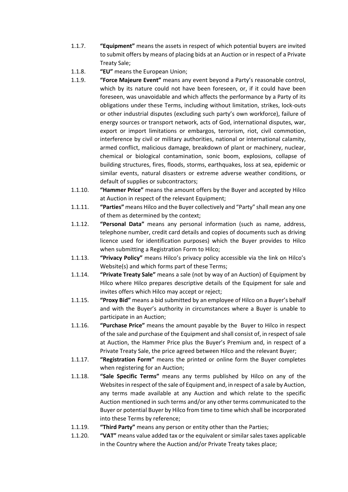- 1.1.7. **"Equipment"** means the assets in respect of which potential buyers are invited to submit offers by means of placing bids at an Auction or in respect of a Private Treaty Sale;
- 1.1.8. **"EU"** means the European Union;
- 1.1.9. **"Force Majeure Event"** means any event beyond a Party's reasonable control, which by its nature could not have been foreseen, or, if it could have been foreseen, was unavoidable and which affects the performance by a Party of its obligations under these Terms, including without limitation, strikes, lock-outs or other industrial disputes (excluding such party's own workforce), failure of energy sources or transport network, acts of God, international disputes, war, export or import limitations or embargos, terrorism, riot, civil commotion, interference by civil or military authorities, national or international calamity, armed conflict, malicious damage, breakdown of plant or machinery, nuclear, chemical or biological contamination, sonic boom, explosions, collapse of building structures, fires, floods, storms, earthquakes, loss at sea, epidemic or similar events, natural disasters or extreme adverse weather conditions, or default of supplies or subcontractors;
- 1.1.10. **"Hammer Price"** means the amount offers by the Buyer and accepted by Hilco at Auction in respect of the relevant Equipment;
- 1.1.11. **"Parties"** means Hilco and the Buyer collectively and "Party" shall mean any one of them as determined by the context;
- 1.1.12. **"Personal Data"** means any personal information (such as name, address, telephone number, credit card details and copies of documents such as driving licence used for identification purposes) which the Buyer provides to Hilco when submitting a Registration Form to Hilco;
- 1.1.13. **"Privacy Policy"** means Hilco's privacy policy accessible via the link on Hilco's Website(s) and which forms part of these Terms;
- 1.1.14. **"Private Treaty Sale"** means a sale (not by way of an Auction) of Equipment by Hilco where Hilco prepares descriptive details of the Equipment for sale and invites offers which Hilco may accept or reject;
- 1.1.15. **"Proxy Bid"** means a bid submitted by an employee of Hilco on a Buyer's behalf and with the Buyer's authority in circumstances where a Buyer is unable to participate in an Auction;
- 1.1.16. **"Purchase Price"** means the amount payable by the Buyer to Hilco in respect of the sale and purchase of the Equipment and shall consist of, in respect of sale at Auction, the Hammer Price plus the Buyer's Premium and, in respect of a Private Treaty Sale, the price agreed between Hilco and the relevant Buyer;
- 1.1.17. **"Registration Form"** means the printed or online form the Buyer completes when registering for an Auction;
- 1.1.18. **"Sale Specific Terms"** means any terms published by Hilco on any of the Websites in respect of the sale of Equipment and, in respect of a sale by Auction, any terms made available at any Auction and which relate to the specific Auction mentioned in such terms and/or any other terms communicated to the Buyer or potential Buyer by Hilco from time to time which shall be incorporated into these Terms by reference;
- 1.1.19. **"Third Party"** means any person or entity other than the Parties;
- 1.1.20. **"VAT"** means value added tax or the equivalent or similar sales taxes applicable in the Country where the Auction and/or Private Treaty takes place;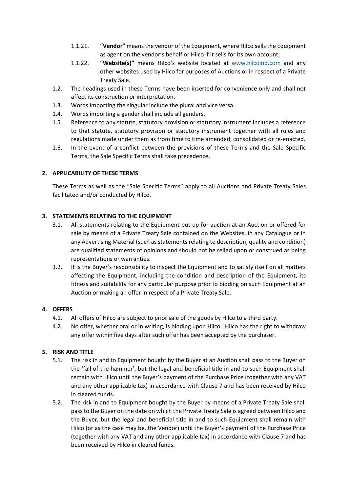- 1.1.21. **"Vendor"** means the vendor of the Equipment, where Hilco sells the Equipment as agent on the vendor's behalf or Hilco if it sells for its own account;
- 1.1.22. **"Website(s)"** means Hilco's website located at [www.hilcoind.com](http://www.hilcoind.com/) and any other websites used by Hilco for purposes of Auctions or in respect of a Private Treaty Sale.
- 1.2. The headings used in these Terms have been inserted for convenience only and shall not affect its construction or interpretation.
- 1.3. Words importing the singular include the plural and vice versa.
- 1.4. Words importing a gender shall include all genders.
- 1.5. Reference to any statute, statutory provision or statutory instrument includes a reference to that statute, statutory provision or statutory instrument together with all rules and regulations made under them as from time to time amended, consolidated or re-enacted.
- 1.6. In the event of a conflict between the provisions of these Terms and the Sale Specific Terms, the Sale Specific Terms shall take precedence.

#### **2. APPLICABILITY OF THESE TERMS**

These Terms as well as the "Sale Specific Terms" apply to all Auctions and Private Treaty Sales facilitated and/or conducted by Hilco.

#### **3. STATEMENTS RELATING TO THE EQUIPMENT**

- 3.1. All statements relating to the Equipment put up for auction at an Auction or offered for sale by means of a Private Treaty Sale contained on the Websites, in any Catalogue or in any Advertising Material (such as statements relating to description, quality and condition) are qualified statements of opinions and should not be relied upon or construed as being representations or warranties.
- 3.2. It is the Buyer's responsibility to inspect the Equipment and to satisfy itself on all matters affecting the Equipment, including the condition and description of the Equipment, its fitness and suitability for any particular purpose prior to bidding on such Equipment at an Auction or making an offer in respect of a Private Treaty Sale.

#### **4. OFFERS**

- 4.1. All offers of Hilco are subject to prior sale of the goods by Hilco to a third party.
- 4.2. No offer, whether oral or in writing, is binding upon Hilco. Hilco has the right to withdraw any offer within five days after such offer has been accepted by the purchaser.

#### **5. RISK AND TITLE**

- 5.1. The risk in and to Equipment bought by the Buyer at an Auction shall pass to the Buyer on the 'fall of the hammer', but the legal and beneficial title in and to such Equipment shall remain with Hilco until the Buyer's payment of the Purchase Price (together with any VAT and any other applicable tax) in accordance with Clause 7 and has been received by Hilco in cleared funds.
- 5.2. The risk in and to Equipment bought by the Buyer by means of a Private Treaty Sale shall pass to the Buyer on the date on which the Private Treaty Sale is agreed between Hilco and the Buyer, but the legal and beneficial title in and to such Equipment shall remain with Hilco (or as the case may be, the Vendor) until the Buyer's payment of the Purchase Price (together with any VAT and any other applicable tax) in accordance with Clause 7 and has been received by Hilco in cleared funds.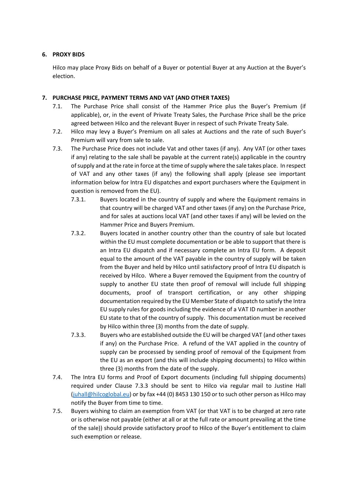#### **6. PROXY BIDS**

Hilco may place Proxy Bids on behalf of a Buyer or potential Buyer at any Auction at the Buyer's election.

#### **7. PURCHASE PRICE, PAYMENT TERMS AND VAT (AND OTHER TAXES)**

- 7.1. The Purchase Price shall consist of the Hammer Price plus the Buyer's Premium (if applicable), or, in the event of Private Treaty Sales, the Purchase Price shall be the price agreed between Hilco and the relevant Buyer in respect of such Private Treaty Sale.
- 7.2. Hilco may levy a Buyer's Premium on all sales at Auctions and the rate of such Buyer's Premium will vary from sale to sale.
- 7.3. The Purchase Price does not include Vat and other taxes (if any). Any VAT (or other taxes if any) relating to the sale shall be payable at the current rate(s) applicable in the country of supply and at the rate in force at the time of supply where the sale takes place. In respect of VAT and any other taxes (if any) the following shall apply (please see important information below for Intra EU dispatches and export purchasers where the Equipment in question is removed from the EU).
	- 7.3.1. Buyers located in the country of supply and where the Equipment remains in that country will be charged VAT and other taxes (if any) on the Purchase Price, and for sales at auctions local VAT (and other taxes if any) will be levied on the Hammer Price and Buyers Premium.
	- 7.3.2. Buyers located in another country other than the country of sale but located within the EU must complete documentation or be able to support that there is an Intra EU dispatch and if necessary complete an Intra EU form. A deposit equal to the amount of the VAT payable in the country of supply will be taken from the Buyer and held by Hilco until satisfactory proof of Intra EU dispatch is received by Hilco. Where a Buyer removed the Equipment from the country of supply to another EU state then proof of removal will include full shipping documents, proof of transport certification, or any other shipping documentation required by the EU Member State of dispatch to satisfy the Intra EU supply rules for goods including the evidence of a VAT ID number in another EU state to that of the country of supply. This documentation must be received by Hilco within three (3) months from the date of supply.
	- 7.3.3. Buyers who are established outside the EU will be charged VAT (and other taxes if any) on the Purchase Price. A refund of the VAT applied in the country of supply can be processed by sending proof of removal of the Equipment from the EU as an export (and this will include shipping documents) to Hilco within three (3) months from the date of the supply.
- 7.4. The Intra EU forms and Proof of Export documents (including full shipping documents) required under Clause 7.3.3 should be sent to Hilco via regular mail to Justine Hall [\(juhall@hilcoglobal.eu\)](mailto:juhall@hilcoglobal.eu) or by fax +44 (0) 8453 130 150 or to such other person as Hilco may notify the Buyer from time to time.
- 7.5. Buyers wishing to claim an exemption from VAT (or that VAT is to be charged at zero rate or is otherwise not payable (either at all or at the full rate or amount prevailing at the time of the sale)) should provide satisfactory proof to Hilco of the Buyer's entitlement to claim such exemption or release.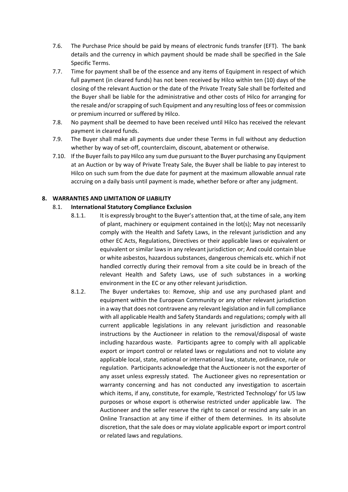- 7.6. The Purchase Price should be paid by means of electronic funds transfer (EFT). The bank details and the currency in which payment should be made shall be specified in the Sale Specific Terms.
- 7.7. Time for payment shall be of the essence and any items of Equipment in respect of which full payment (in cleared funds) has not been received by Hilco within ten (10) days of the closing of the relevant Auction or the date of the Private Treaty Sale shall be forfeited and the Buyer shall be liable for the administrative and other costs of Hilco for arranging for the resale and/or scrapping of such Equipment and any resulting loss of fees or commission or premium incurred or suffered by Hilco.
- 7.8. No payment shall be deemed to have been received until Hilco has received the relevant payment in cleared funds.
- 7.9. The Buyer shall make all payments due under these Terms in full without any deduction whether by way of set-off, counterclaim, discount, abatement or otherwise.
- 7.10. If the Buyer fails to pay Hilco any sum due pursuant to the Buyer purchasing any Equipment at an Auction or by way of Private Treaty Sale, the Buyer shall be liable to pay interest to Hilco on such sum from the due date for payment at the maximum allowable annual rate accruing on a daily basis until payment is made, whether before or after any judgment.

#### **8. WARRANTIES AND LIMITATION OF LIABILITY**

#### 8.1. **International Statutory Compliance Exclusion**

- 8.1.1. It is expressly brought to the Buyer's attention that, at the time of sale, any item of plant, machinery or equipment contained in the lot(s); May not necessarily comply with the Health and Safety Laws, in the relevant jurisdiction and any other EC Acts, Regulations, Directives or their applicable laws or equivalent or equivalent or similar laws in any relevant jurisdiction or; And could contain blue or white asbestos, hazardous substances, dangerous chemicals etc. which if not handled correctly during their removal from a site could be in breach of the relevant Health and Safety Laws, use of such substances in a working environment in the EC or any other relevant jurisdiction.
- 8.1.2. The Buyer undertakes to: Remove, ship and use any purchased plant and equipment within the European Community or any other relevant jurisdiction in a way that does not contravene any relevant legislation and in full compliance with all applicable Health and Safety Standards and regulations; comply with all current applicable legislations in any relevant jurisdiction and reasonable instructions by the Auctioneer in relation to the removal/disposal of waste including hazardous waste. Participants agree to comply with all applicable export or import control or related laws or regulations and not to violate any applicable local, state, national or international law, statute, ordinance, rule or regulation. Participants acknowledge that the Auctioneer is not the exporter of any asset unless expressly stated. The Auctioneer gives no representation or warranty concerning and has not conducted any investigation to ascertain which items, if any, constitute, for example, 'Restricted Technology' for US law purposes or whose export is otherwise restricted under applicable law. The Auctioneer and the seller reserve the right to cancel or rescind any sale in an Online Transaction at any time if either of them determines. In its absolute discretion, that the sale does or may violate applicable export or import control or related laws and regulations.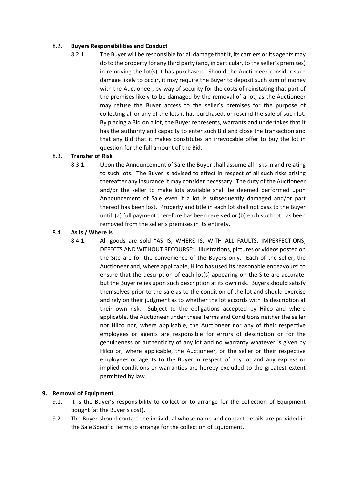#### 8.2. **Buyers Responsibilities and Conduct**

8.2.1. The Buyer will be responsible for all damage that it, its carriers or its agents may do to the property for any third party (and, in particular, to the seller's premises) in removing the lot(s) it has purchased. Should the Auctioneer consider such damage likely to occur, it may require the Buyer to deposit such sum of money with the Auctioneer, by way of security for the costs of reinstating that part of the premises likely to be damaged by the removal of a lot, as the Auctioneer may refuse the Buyer access to the seller's premises for the purpose of collecting all or any of the lots it has purchased, or rescind the sale of such lot. By placing a Bid on a lot, the Buyer represents, warrants and undertakes that it has the authority and capacity to enter such Bid and close the transaction and that any Bid that it makes constitutes an irrevocable offer to buy the lot in question for the full amount of the Bid.

#### 8.3. **Transfer of Risk**

8.3.1. Upon the Announcement of Sale the Buyer shall assume all risks in and relating to such lots. The Buyer is advised to effect in respect of all such risks arising thereafter any insurance it may consider necessary. The duty of the Auctioneer and/or the seller to make lots available shall be deemed performed upon Announcement of Sale even if a lot is subsequently damaged and/or part thereof has been lost. Property and title in each lot shall not pass to the Buyer until: (a) full payment therefore has been received or (b) each such lot has been removed from the seller's premises in its entirety.

#### 8.4. **As is / Where Is**

8.4.1. All goods are sold "AS IS, WHERE IS, WITH ALL FAULTS, IMPERFECTIONS, DEFECTS AND WITHOUT RECOURSE". Illustrations, pictures or videos posted on the Site are for the convenience of the Buyers only. Each of the seller, the Auctioneer and, where applicable, Hilco has used its reasonable endeavours' to ensure that the description of each lot(s) appearing on the Site are accurate, but the Buyer relies upon such description at its own risk. Buyers should satisfy themselves prior to the sale as to the condition of the lot and should exercise and rely on their judgment as to whether the lot accords with its description at their own risk. Subject to the obligations accepted by Hilco and where applicable, the Auctioneer under these Terms and Conditions neither the seller nor Hilco nor, where applicable, the Auctioneer nor any of their respective employees or agents are responsible for errors of description or for the genuineness or authenticity of any lot and no warranty whatever is given by Hilco or, where applicable, the Auctioneer, or the seller or their respective employees or agents to the Buyer in respect of any lot and any express or implied conditions or warranties are hereby excluded to the greatest extent permitted by law.

#### **9. Removal of Equipment**

- 9.1. It is the Buyer's responsibility to collect or to arrange for the collection of Equipment bought (at the Buyer's cost).
- 9.2. The Buyer should contact the individual whose name and contact details are provided in the Sale Specific Terms to arrange for the collection of Equipment.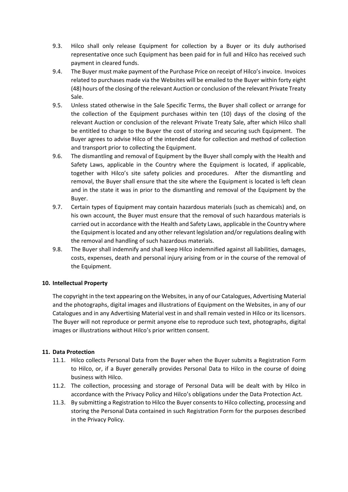- 9.3. Hilco shall only release Equipment for collection by a Buyer or its duly authorised representative once such Equipment has been paid for in full and Hilco has received such payment in cleared funds.
- 9.4. The Buyer must make payment of the Purchase Price on receipt of Hilco's invoice. Invoices related to purchases made via the Websites will be emailed to the Buyer within forty eight (48) hours of the closing of the relevant Auction or conclusion of the relevant Private Treaty Sale.
- 9.5. Unless stated otherwise in the Sale Specific Terms, the Buyer shall collect or arrange for the collection of the Equipment purchases within ten (10) days of the closing of the relevant Auction or conclusion of the relevant Private Treaty Sale, after which Hilco shall be entitled to charge to the Buyer the cost of storing and securing such Equipment. The Buyer agrees to advise Hilco of the intended date for collection and method of collection and transport prior to collecting the Equipment.
- 9.6. The dismantling and removal of Equipment by the Buyer shall comply with the Health and Safety Laws, applicable in the Country where the Equipment is located, if applicable, together with Hilco's site safety policies and procedures. After the dismantling and removal, the Buyer shall ensure that the site where the Equipment is located is left clean and in the state it was in prior to the dismantling and removal of the Equipment by the Buyer.
- 9.7. Certain types of Equipment may contain hazardous materials (such as chemicals) and, on his own account, the Buyer must ensure that the removal of such hazardous materials is carried out in accordance with the Health and Safety Laws, applicable in the Country where the Equipment is located and any other relevant legislation and/or regulations dealing with the removal and handling of such hazardous materials.
- 9.8. The Buyer shall indemnify and shall keep Hilco indemnified against all liabilities, damages, costs, expenses, death and personal injury arising from or in the course of the removal of the Equipment.

#### **10. Intellectual Property**

The copyright in the text appearing on the Websites, in any of our Catalogues, Advertising Material and the photographs, digital images and illustrations of Equipment on the Websites, in any of our Catalogues and in any Advertising Material vest in and shall remain vested in Hilco or its licensors. The Buyer will not reproduce or permit anyone else to reproduce such text, photographs, digital images or illustrations without Hilco's prior written consent.

#### **11. Data Protection**

- 11.1. Hilco collects Personal Data from the Buyer when the Buyer submits a Registration Form to Hilco, or, if a Buyer generally provides Personal Data to Hilco in the course of doing business with Hilco.
- 11.2. The collection, processing and storage of Personal Data will be dealt with by Hilco in accordance with the Privacy Policy and Hilco's obligations under the Data Protection Act.
- 11.3. By submitting a Registration to Hilco the Buyer consents to Hilco collecting, processing and storing the Personal Data contained in such Registration Form for the purposes described in the Privacy Policy.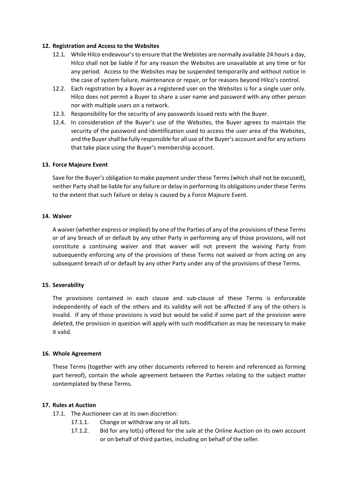#### **12. Registration and Access to the Websites**

- 12.1. While Hilco endeavour's to ensure that the Webistes are normally available 24 hours a day, Hilco shall not be liable if for any reason the Websites are unavailable at any time or for any period. Access to the Websites may be suspended temporarily and without notice in the case of system failure, maintenance or repair, or for reasons beyond Hilco's control.
- 12.2. Each registration by a Buyer as a registered user on the Websites is for a single user only. Hilco does not permit a Buyer to share a user name and password with any other person nor with multiple users on a network.
- 12.3. Responsibility for the security of any passwords issued rests with the Buyer.
- 12.4. In consideration of the Buyer's use of the Websites, the Buyer agrees to maintain the security of the password and identification used to access the user area of the Websites, and the Buyer shall be fully responsible for all use of the Buyer's account and for any actions that take place using the Buyer's membership account.

#### **13. Force Majeure Event**

Save for the Buyer's obligation to make payment under these Terms (which shall not be excused), neither Party shall be liable for any failure or delay in performing its obligations under these Terms to the extent that such failure or delay is caused by a Force Majeure Event.

#### **14. Waiver**

A waiver (whether express or implied) by one of the Parties of any of the provisions of these Terms or of any breach of or default by any other Party in performing any of those provisions, will not constitute a continuing waiver and that waiver will not prevent the waiving Party from subsequently enforcing any of the provisions of these Terms not waived or from acting on any subsequent breach of or default by any other Party under any of the provisions of these Terms.

#### **15. Severability**

The provisions contained in each clause and sub-clause of these Terms is enforceable independently of each of the others and its validity will not be affected if any of the others is invalid. If any of those provisions is void but would be valid if some part of the provision were deleted, the provision in question will apply with such modification as may be necessary to make it valid.

#### **16. Whole Agreement**

These Terms (together with any other documents referred to herein and referenced as forming part hereof), contain the whole agreement between the Parties relating to the subject matter contemplated by these Terms.

#### **17. Rules at Auction**

- 17.1. The Auctioneer can at its own discretion:
	- 17.1.1. Change or withdraw any or all lots.
	- 17.1.2. Bid for any lot(s) offered for the sale at the Online Auction on its own account or on behalf of third parties, including on behalf of the seller.